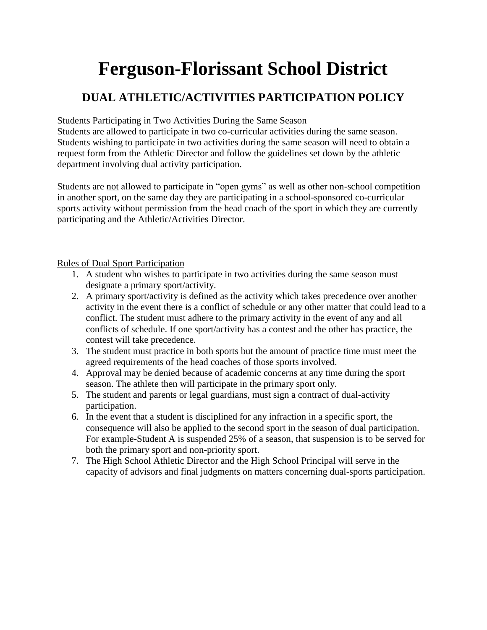# **Ferguson-Florissant School District**

### **DUAL ATHLETIC/ACTIVITIES PARTICIPATION POLICY**

#### Students Participating in Two Activities During the Same Season

Students are allowed to participate in two co-curricular activities during the same season. Students wishing to participate in two activities during the same season will need to obtain a request form from the Athletic Director and follow the guidelines set down by the athletic department involving dual activity participation.

Students are not allowed to participate in "open gyms" as well as other non-school competition in another sport, on the same day they are participating in a school-sponsored co-curricular sports activity without permission from the head coach of the sport in which they are currently participating and the Athletic/Activities Director.

#### Rules of Dual Sport Participation

- 1. A student who wishes to participate in two activities during the same season must designate a primary sport/activity.
- 2. A primary sport/activity is defined as the activity which takes precedence over another activity in the event there is a conflict of schedule or any other matter that could lead to a conflict. The student must adhere to the primary activity in the event of any and all conflicts of schedule. If one sport/activity has a contest and the other has practice, the contest will take precedence.
- 3. The student must practice in both sports but the amount of practice time must meet the agreed requirements of the head coaches of those sports involved.
- 4. Approval may be denied because of academic concerns at any time during the sport season. The athlete then will participate in the primary sport only.
- 5. The student and parents or legal guardians, must sign a contract of dual-activity participation.
- 6. In the event that a student is disciplined for any infraction in a specific sport, the consequence will also be applied to the second sport in the season of dual participation. For example-Student A is suspended 25% of a season, that suspension is to be served for both the primary sport and non-priority sport.
- 7. The High School Athletic Director and the High School Principal will serve in the capacity of advisors and final judgments on matters concerning dual-sports participation.